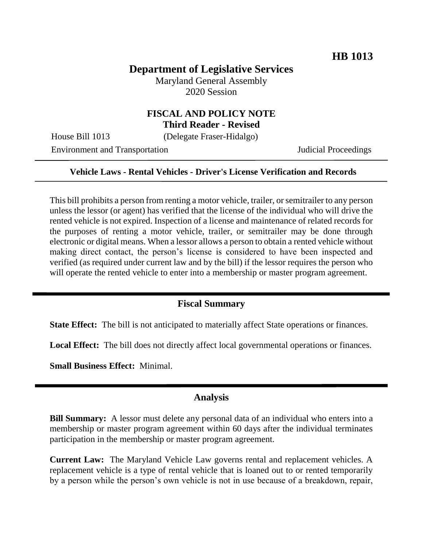## **Department of Legislative Services**

Maryland General Assembly 2020 Session

# **FISCAL AND POLICY NOTE**

**Third Reader - Revised**

House Bill 1013 (Delegate Fraser-Hidalgo)

Environment and Transportation Judicial Proceedings

#### **Vehicle Laws - Rental Vehicles - Driver's License Verification and Records**

This bill prohibits a person from renting a motor vehicle, trailer, or semitrailer to any person unless the lessor (or agent) has verified that the license of the individual who will drive the rented vehicle is not expired. Inspection of a license and maintenance of related records for the purposes of renting a motor vehicle, trailer, or semitrailer may be done through electronic or digital means. When a lessor allows a person to obtain a rented vehicle without making direct contact, the person's license is considered to have been inspected and verified (as required under current law and by the bill) if the lessor requires the person who will operate the rented vehicle to enter into a membership or master program agreement.

#### **Fiscal Summary**

**State Effect:** The bill is not anticipated to materially affect State operations or finances.

Local Effect: The bill does not directly affect local governmental operations or finances.

**Small Business Effect:** Minimal.

#### **Analysis**

**Bill Summary:** A lessor must delete any personal data of an individual who enters into a membership or master program agreement within 60 days after the individual terminates participation in the membership or master program agreement.

**Current Law:** The Maryland Vehicle Law governs rental and replacement vehicles. A replacement vehicle is a type of rental vehicle that is loaned out to or rented temporarily by a person while the person's own vehicle is not in use because of a breakdown, repair,